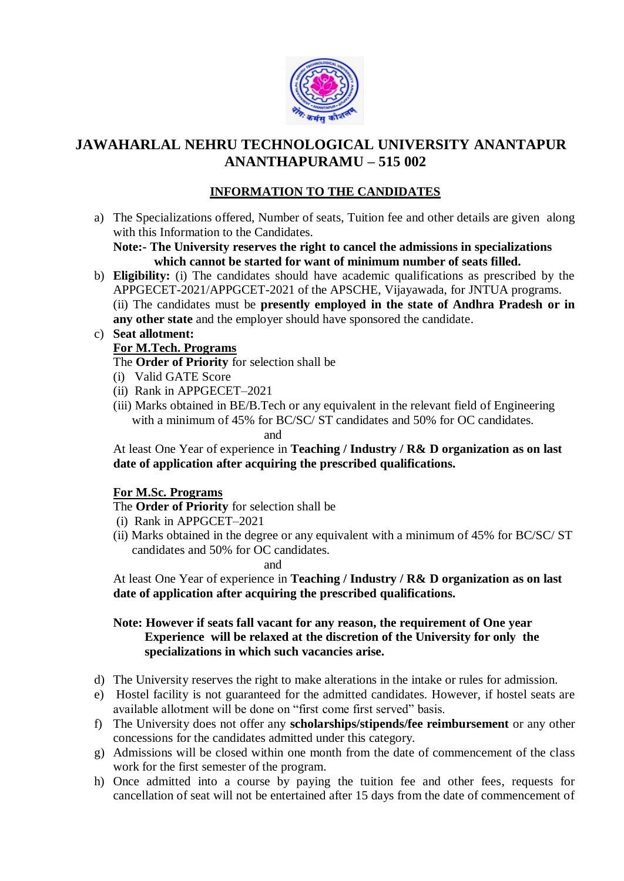

# **JAWAHARLAL NEHRU TECHNOLOGICAL UNIVERSITY ANANTAPUR ANANTHAPURAMU – 515 002**

## **INFORMATION TO THE CANDIDATES**

a) The Specializations offered, Number of seats, Tuition fee and other details are given along with this Information to the Candidates.

**Note:- The University reserves the right to cancel the admissions in specializations which cannot be started for want of minimum number of seats filled.**

b) **Eligibility:** (i) The candidates should have academic qualifications as prescribed by the APPGECET-2021/APPGCET-2021 of the APSCHE, Vijayawada, for JNTUA programs. (ii) The candidates must be **presently employed in the state of Andhra Pradesh or in any other state** and the employer should have sponsored the candidate.

#### c) **Seat allotment: For M.Tech. Programs**

- The **Order of Priority** for selection shall be
- (i) Valid GATE Score
- (ii) Rank in APPGECET–2021
- (iii) Marks obtained in BE/B.Tech or any equivalent in the relevant field of Engineering with a minimum of 45% for BC/SC/ ST candidates and 50% for OC candidates. and

At least One Year of experience in **Teaching / Industry / R& D organization as on last date of application after acquiring the prescribed qualifications.**

### **For M.Sc. Programs**

The **Order of Priority** for selection shall be

- (i) Rank in APPGCET–2021
- (ii) Marks obtained in the degree or any equivalent with a minimum of 45% for BC/SC/ ST candidates and 50% for OC candidates.

and

At least One Year of experience in **Teaching / Industry / R& D organization as on last date of application after acquiring the prescribed qualifications.**

### **Note: However if seats fall vacant for any reason, the requirement of One year Experience will be relaxed at the discretion of the University for only the specializations in which such vacancies arise.**

- d) The University reserves the right to make alterations in the intake or rules for admission.
- e) Hostel facility is not guaranteed for the admitted candidates. However, if hostel seats are available allotment will be done on "first come first served" basis.
- f) The University does not offer any **scholarships/stipends/fee reimbursement** or any other concessions for the candidates admitted under this category.
- g) Admissions will be closed within one month from the date of commencement of the class work for the first semester of the program.
- h) Once admitted into a course by paying the tuition fee and other fees, requests for cancellation of seat will not be entertained after 15 days from the date of commencement of